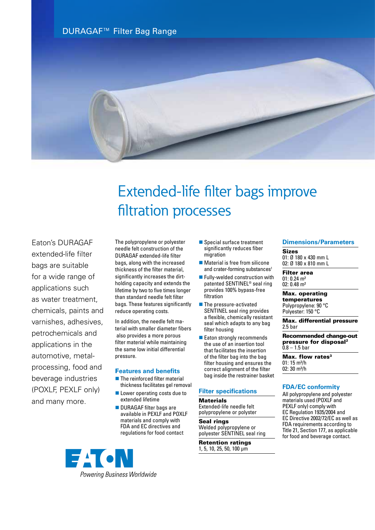DURAGAF™ Filter Bag Range



# Extended-life filter bags improve filtration processes

Eaton's DURAGAF extended-life filter bags are suitable for a wide range of applications such as water treatment, chemicals, paints and varnishes, adhesives, petrochemicals and applications in the automotive, metalprocessing, food and beverage industries (POXLF, PEXLF only) and many more.

The polypropylene or polyester needle felt construction of the DURAGAF extended-life filter bags, along with the increased thickness of the filter material, significantly increases the dirtholding capacity and extends the lifetime by two to five times longer than standard needle felt filter bags. These features significantly reduce operating costs.

In addition, the needle felt material with smaller diameter fibers also provides a more porous filter material while maintaining the same low initial differential pressure.

### F**eatures and benefits**

- $\blacksquare$  The reinforced filter material thickness facilitates gel removal
- $\blacksquare$  Lower operating costs due to extended lifetime
- DURAGAF filter bags are available in PEXLF and POXLF materials and comply with FDA and EC directives and regulations for food contact
- $\blacksquare$  Special surface treatment significantly reduces fiber migration
- $\blacksquare$  Material is free from silicone and crater-forming substances<sup>1</sup>
- $\blacksquare$  Fully-welded construction with patented SENTINEL® seal ring provides 100% bypass-free filtration
- $\blacksquare$  The pressure-activated SENTINEL seal ring provides a flexible, chemically resistant seal which adapts to any bag filter housing
- Eaton strongly recommends the use of an insertion tool that facilitates the insertion of the filter bag into the bag filter housing and ensures the correct alignment of the filter bag inside the restrainer basket

#### **Filter specifications**

**Materials** Extended-life needle felt polypropylene or polyster

Seal rings Welded polypropylene or polyester SENTINEL seal ring

Retention ratings 1, 5, 10, 25, 50, 100 µm

#### **Dimensions/Parameters**

Sizes 01: Ø 180 x 430 mm L 02: Ø 180 x 810 mm L

Filter area 01: 0.24 m² 02: 0.48 m²

Max. operating temperatures Polypropylene: 90 °C Polyester: 150 °C

Max. differential pressure 2.5 bar

Recommended change-out pressure for disposal<sup>2</sup>  $0.8 - 1.5$  bar

Max. flow rates<sup>3</sup>  $01: 15$  m<sup>3</sup>/h 02: 30 m³/h

#### **FDA/EC conformity**

All polypropylene and polyester materials used (POXLF and PEXLF only) comply with EC Regulation 1935/2004 and EC Directive 2002/72/EC as well as FDA requirements according to Title 21, Section 177, as applicable for food and beverage contact.